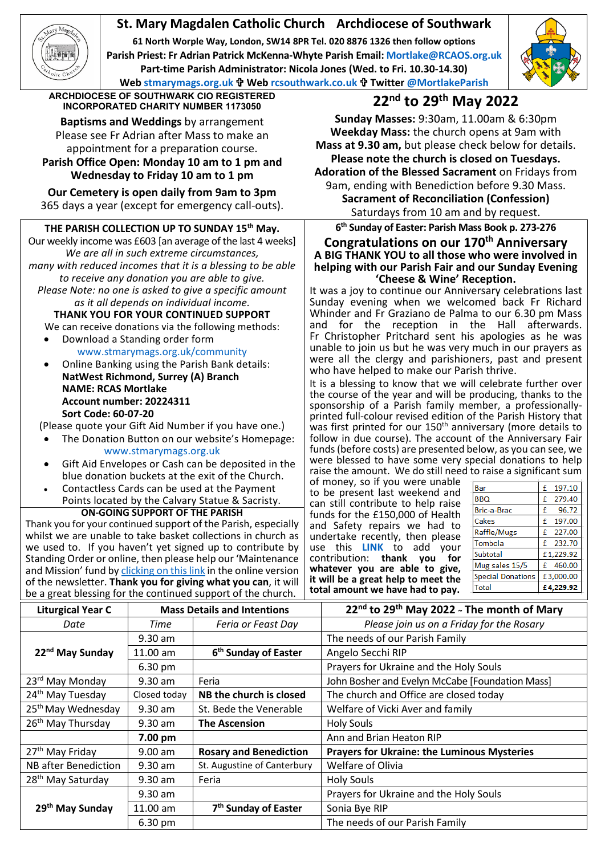# **St. Mary Magdalen Catholic Church Archdiocese of Southwark**

**61 North Worple Way, London, SW14 8PR Tel. 020 8876 1326 then follow options Parish Priest: Fr Adrian Patrick McKenna-Whyte Parish Email[: Mortlake@RCAOS.org.uk](mailto:Mortlake@RCAOS.org.uk) Part-time Parish Administrator: Nicola Jones (Wed. to Fri. 10.30-14.30) Web [stmarymags.org.uk](http://www.stmarymags.org.uk/) Web [rcsouthwark.co.uk](http://www.rcsouthwark.co.uk/) Twitter [@MortlakeParish](https://twitter.com/@mortlakeparish)**



**ARCHDIOCESE OF SOUTHWARK CIO REGISTERED INCORPORATED CHARITY NUMBER 1173050 22nd to 29th May 2022**

**Baptisms and Weddings** by arrangement Please see Fr Adrian after Mass to make an appointment for a preparation course. **Parish Office Open: Monday 10 am to 1 pm and**

**Wednesday to Friday 10 am to 1 pm**

**Our Cemetery is open daily from 9am to 3pm** 365 days a year (except for emergency call-outs).

## **THE PARISH COLLECTION UP TO SUNDAY 15th May.**

Our weekly income was £603 [an average of the last 4 weeks] *We are all in such extreme circumstances, many with reduced incomes that it is a blessing to be able to receive any donation you are able to give. Please Note: no one is asked to give a specific amount as it all depends on individual income.*

**THANK YOU FOR YOUR CONTINUED SUPPORT** We can receive donations via the following methods:

- Download a Standing order form [www.stmarymags.org.uk/community](http://www.stmarymags.org.uk/community)
- Online Banking using the Parish Bank details: **NatWest Richmond, Surrey (A) Branch NAME: RCAS Mortlake Account number: 20224311 Sort Code: 60-07-20**

(Please quote your Gift Aid Number if you have one.)

- The Donation Button on our website's Homepage: [www.stmarymags.org.uk](http://www.stmarymags.org.uk/)
- Gift Aid Envelopes or Cash can be deposited in the blue donation buckets at the exit of the Church.
- Contactless Cards can be used at the Payment Points located by the Calvary Statue & Sacristy.

**ON-GOING SUPPORT OF THE PARISH**

Thank you for your continued support of the Parish, especially whilst we are unable to take basket collections in church as we used to. If you haven't yet signed up to contribute by Standing Order or online, then please help our 'Maintenance and Mission' fund b[y clicking on this link](https://givealittle.co/campaigns/0d894f95-a502-418f-a98b-07a2dc349c74) in the online version of the newsletter. **Thank you for giving what you can**, it will be a great blessing for the continued support of the church.

**Sunday Masses:** 9:30am, 11.00am & 6:30pm **Weekday Mass:** the church opens at 9am with **Mass at 9.30 am,** but please check below for details. **Please note the church is closed on Tuesdays. Adoration of the Blessed Sacrament** on Fridays from 9am, ending with Benediction before 9.30 Mass. **Sacrament of Reconciliation (Confession)**

Saturdays from 10 am and by request.

## **6th Sunday of Easter: Parish Mass Book p. 273-276 Congratulations on our 170th Anniversary A BIG THANK YOU to all those who were involved in helping with our Parish Fair and our Sunday Evening**

It was a joy to continue our Anniversary celebrations last Sunday evening when we welcomed back Fr Richard Whinder and Fr Graziano de Palma to our 6.30 pm Mass and for the reception in the Hall afterwards. Fr Christopher Pritchard sent his apologies as he was unable to join us but he was very much in our prayers as were all the clergy and parishioners, past and present who have helped to make our Parish thrive.

It is a blessing to know that we will celebrate further over the course of the year and will be producing, thanks to the sponsorship of a Parish family member, a professionallyprinted full-colour revised edition of the Parish History that was first printed for our 150<sup>th</sup> anniversary (more details to follow in due course). The account of the Anniversary Fair funds (before costs) are presented below, as you can see, we were blessed to have some very special donations to help raise the amount. We do still need to raise a significant sum

of money, so if you were unable to be present last weekend and can still contribute to help raise funds for the £150,000 of Health and Safety repairs we had to undertake recently, then please use this **[LINK](https://stmarymags.us19.list-manage.com/track/click?u=a2ce7585777322180dab2553b&id=361afde6ab&e=627a18ae91)** to add your contribution: **thank you for whatever you are able to give, it will be a great help to meet the total amount we have had to pay.**

| Bar                      | 197.10<br>£ |
|--------------------------|-------------|
| <b>BBQ</b>               | £ 279.40    |
| Bric-a-Brac              | 96.72<br>£  |
| Cakes                    | 197.00<br>£ |
| Raffle/Mugs              | £ 227.00    |
| Tombola                  | £ 232.70    |
| Subtotal                 | £1,229.92   |
| Mug sales 15/5           | £ 460.00    |
| <b>Special Donations</b> | £3,000.00   |
| Total                    | £4,229.92   |

| <b>Liturgical Year C</b>       | <b>Mass Details and Intentions</b> |                                  | 22nd to 29th May 2022 ~ The month of Mary          |
|--------------------------------|------------------------------------|----------------------------------|----------------------------------------------------|
| Date                           | Time                               | Feria or Feast Day               | Please join us on a Friday for the Rosary          |
|                                | 9.30 am                            |                                  | The needs of our Parish Family                     |
| 22 <sup>nd</sup> May Sunday    | 11.00 am                           | 6 <sup>th</sup> Sunday of Easter | Angelo Secchi RIP                                  |
|                                | 6.30 pm                            |                                  | Prayers for Ukraine and the Holy Souls             |
| 23 <sup>rd</sup> May Monday    | 9.30 am                            | Feria                            | John Bosher and Evelyn McCabe [Foundation Mass]    |
| 24 <sup>th</sup> May Tuesday   | Closed today                       | NB the church is closed          | The church and Office are closed today             |
| 25 <sup>th</sup> May Wednesday | 9.30 am                            | St. Bede the Venerable           | Welfare of Vicki Aver and family                   |
| 26 <sup>th</sup> May Thursday  | 9.30 am                            | <b>The Ascension</b>             | <b>Holy Souls</b>                                  |
|                                | 7.00 pm                            |                                  | Ann and Brian Heaton RIP                           |
| 27 <sup>th</sup> May Friday    | $9.00$ am                          | <b>Rosary and Benediction</b>    | <b>Prayers for Ukraine: the Luminous Mysteries</b> |
| <b>NB</b> after Benediction    | $9.30$ am                          | St. Augustine of Canterbury      | Welfare of Olivia                                  |
| 28 <sup>th</sup> May Saturday  | 9.30 am                            | Feria                            | <b>Holy Souls</b>                                  |
| 29 <sup>th</sup> May Sunday    | $9.30$ am                          |                                  | Prayers for Ukraine and the Holy Souls             |
|                                | $11.00$ am                         | 7 <sup>th</sup> Sunday of Easter | Sonia Bye RIP                                      |
|                                | 6.30 pm                            |                                  | The needs of our Parish Family                     |